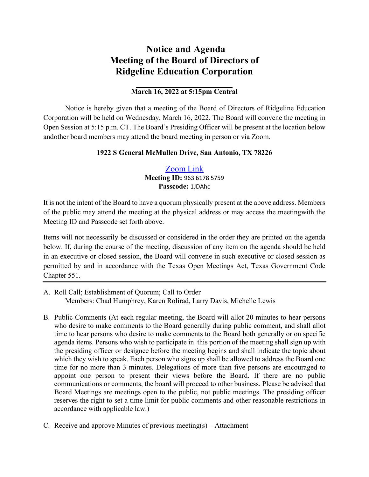## **Notice and Agenda Meeting of the Board of Directors of Ridgeline Education Corporation**

## **March 16, 2022 at 5:15pm Central**

Notice is hereby given that a meeting of the Board of Directors of Ridgeline Education Corporation will be held on Wednesday, March 16, 2022. The Board will convene the meeting in Open Session at 5:15 p.m. CT. The Board's Presiding Officer will be present at the location below and other board members may attend the board meeting in person or via Zoom.

## **1922 S General McMullen Drive, San Antonio, TX 78226**

## [Zoom](https://zoom.us/j/96361785759?pwd=UTZxMWU0Q21TalRJQXNhclFObUFWQT09) Link **Meeting ID:** 963 6178 5759 **Passcode:** 1JDAhc

It is not the intent of the Board to have a quorum physically present at the above address. Members of the public may attend the meeting at the physical address or may access the meetingwith the Meeting ID and Passcode set forth above.

Items will not necessarily be discussed or considered in the order they are printed on the agenda below. If, during the course of the meeting, discussion of any item on the agenda should be held in an executive or closed session, the Board will convene in such executive or closed session as permitted by and in accordance with the Texas Open Meetings Act, Texas Government Code Chapter 551.

- A. Roll Call; Establishment of Quorum; Call to Order Members: Chad Humphrey, Karen Rolirad, Larry Davis, Michelle Lewis
- B. Public Comments (At each regular meeting, the Board will allot 20 minutes to hear persons who desire to make comments to the Board generally during public comment, and shall allot time to hear persons who desire to make comments to the Board both generally or on specific agenda items. Persons who wish to participate in this portion of the meeting shall sign up with the presiding officer or designee before the meeting begins and shall indicate the topic about which they wish to speak. Each person who signs up shall be allowed to address the Board one time for no more than 3 minutes. Delegations of more than five persons are encouraged to appoint one person to present their views before the Board. If there are no public communications or comments, the board will proceed to other business. Please be advised that Board Meetings are meetings open to the public, not public meetings. The presiding officer reserves the right to set a time limit for public comments and other reasonable restrictions in accordance with applicable law.)
- C. Receive and approve Minutes of previous meeting(s) Attachment